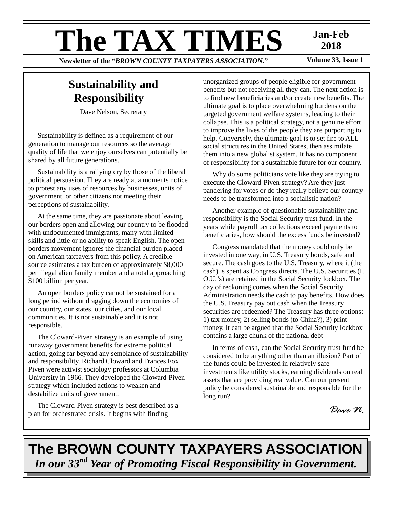# **The TAX TIMES** Jan-Feb<br>Newsletter of the "BROWN COUNTY TAXPAYERS ASSOCIATION." Volume 33, Issue 1

**Newsletter of the "BROWN COUNTY TAXPAYERS ASSOCIATION."** 

**2018** 

## **Sustainability and Responsibility**

Dave Nelson, Secretary

Sustainability is defined as a requirement of our generation to manage our resources so the average quality of life that we enjoy ourselves can potentially be shared by all future generations.

Sustainability is a rallying cry by those of the liberal political persuasion. They are ready at a moments notice to protest any uses of resources by businesses, units of government, or other citizens not meeting their perceptions of sustainability.

At the same time, they are passionate about leaving our borders open and allowing our country to be flooded with undocumented immigrants, many with limited skills and little or no ability to speak English. The open borders movement ignores the financial burden placed on American taxpayers from this policy. A credible source estimates a tax burden of approximately \$8,000 per illegal alien family member and a total approaching \$100 billion per year.

An open borders policy cannot be sustained for a long period without dragging down the economies of our country, our states, our cities, and our local communities. It is not sustainable and it is not responsible.

The Cloward-Piven strategy is an example of using runaway government benefits for extreme political action, going far beyond any semblance of sustainability and responsibility. Richard Cloward and Frances Fox Piven were activist sociology professors at Columbia University in 1966. They developed the Cloward-Piven strategy which included actions to weaken and destabilize units of government.

The Cloward-Piven strategy is best described as a plan for orchestrated crisis. It begins with finding

unorganized groups of people eligible for government benefits but not receiving all they can. The next action is to find new beneficiaries and/or create new benefits. The ultimate goal is to place overwhelming burdens on the targeted government welfare systems, leading to their collapse. This is a political strategy, not a genuine effort to improve the lives of the people they are purporting to help. Conversely, the ultimate goal is to set fire to ALL social structures in the United States, then assimilate them into a new globalist system. It has no component of responsibility for a sustainable future for our country.

Why do some politicians vote like they are trying to execute the Cloward-Piven strategy? Are they just pandering for votes or do they really believe our country needs to be transformed into a socialistic nation?

Another example of questionable sustainability and responsibility is the Social Security trust fund. In the years while payroll tax collections exceed payments to beneficiaries, how should the excess funds be invested?

Congress mandated that the money could only be invested in one way, in U.S. Treasury bonds, safe and secure. The cash goes to the U.S. Treasury, where it (the cash) is spent as Congress directs. The U.S. Securities (I. O.U.'s) are retained in the Social Security lockbox. The day of reckoning comes when the Social Security Administration needs the cash to pay benefits. How does the U.S. Treasury pay out cash when the Treasury securities are redeemed? The Treasury has three options: 1) tax money, 2) selling bonds (to China?), 3) print money. It can be argued that the Social Security lockbox contains a large chunk of the national debt

In terms of cash, can the Social Security trust fund be considered to be anything other than an illusion? Part of the funds could be invested in relatively safe investments like utility stocks, earning dividends on real assets that are providing real value. Can our present policy be considered sustainable and responsible for the long run?

*Dave N.* 

# **The BROWN COUNTY TAXPAYERS ASSOCIATION**  *In our 33nd Year of Promoting Fiscal Responsibility in Government.*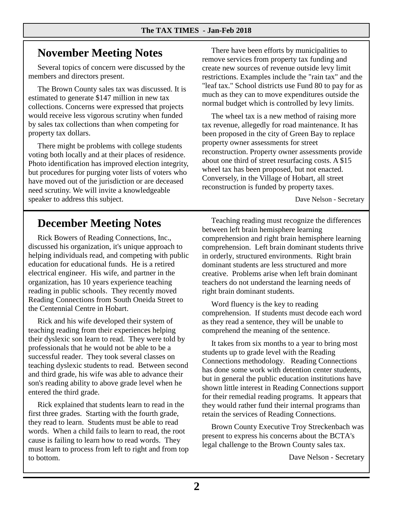## **November Meeting Notes**

Several topics of concern were discussed by the members and directors present.

The Brown County sales tax was discussed. It is estimated to generate \$147 million in new tax collections. Concerns were expressed that projects would receive less vigorous scrutiny when funded by sales tax collections than when competing for property tax dollars.

There might be problems with college students voting both locally and at their places of residence. Photo identification has improved election integrity, but procedures for purging voter lists of voters who have moved out of the jurisdiction or are deceased need scrutiny. We will invite a knowledgeable speaker to address this subject.

There have been efforts by municipalities to remove services from property tax funding and create new sources of revenue outside levy limit restrictions. Examples include the "rain tax" and the "leaf tax." School districts use Fund 80 to pay for as much as they can to move expenditures outside the normal budget which is controlled by levy limits.

The wheel tax is a new method of raising more tax revenue, allegedly for road maintenance. It has been proposed in the city of Green Bay to replace property owner assessments for street reconstruction. Property owner assessments provide about one third of street resurfacing costs. A \$15 wheel tax has been proposed, but not enacted. Conversely, in the Village of Hobart, all street reconstruction is funded by property taxes.

Dave Nelson - Secretary

## **December Meeting Notes**

Rick Bowers of Reading Connections, Inc., discussed his organization, it's unique approach to helping individuals read, and competing with public education for educational funds. He is a retired electrical engineer. His wife, and partner in the organization, has 10 years experience teaching reading in public schools. They recently moved Reading Connections from South Oneida Street to the Centennial Centre in Hobart.

Rick and his wife developed their system of teaching reading from their experiences helping their dyslexic son learn to read. They were told by professionals that he would not be able to be a successful reader. They took several classes on teaching dyslexic students to read. Between second and third grade, his wife was able to advance their son's reading ability to above grade level when he entered the third grade.

Rick explained that students learn to read in the first three grades. Starting with the fourth grade, they read to learn. Students must be able to read words. When a child fails to learn to read, the root cause is failing to learn how to read words. They must learn to process from left to right and from top to bottom.

Teaching reading must recognize the differences between left brain hemisphere learning comprehension and right brain hemisphere learning comprehension. Left brain dominant students thrive in orderly, structured environments. Right brain dominant students are less structured and more creative. Problems arise when left brain dominant teachers do not understand the learning needs of right brain dominant students.

Word fluency is the key to reading comprehension. If students must decode each word as they read a sentence, they will be unable to comprehend the meaning of the sentence.

It takes from six months to a year to bring most students up to grade level with the Reading Connections methodology. Reading Connections has done some work with detention center students, but in general the public education institutions have shown little interest in Reading Connections support for their remedial reading programs. It appears that they would rather fund their internal programs than retain the services of Reading Connections.

Brown County Executive Troy Streckenbach was present to express his concerns about the BCTA's legal challenge to the Brown County sales tax.

Dave Nelson - Secretary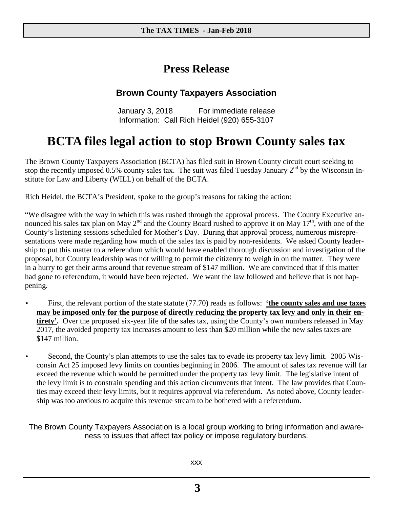## **Press Release**

## **Brown County Taxpayers Association**

January 3, 2018 For immediate release Information: Call Rich Heidel (920) 655-3107

# **BCTA files legal action to stop Brown County sales tax**

The Brown County Taxpayers Association (BCTA) has filed suit in Brown County circuit court seeking to stop the recently imposed 0.5% county sales tax. The suit was filed Tuesday January  $2^{nd}$  by the Wisconsin Institute for Law and Liberty (WILL) on behalf of the BCTA.

Rich Heidel, the BCTA's President, spoke to the group's reasons for taking the action:

"We disagree with the way in which this was rushed through the approval process. The County Executive announced his sales tax plan on May  $2^{nd}$  and the County Board rushed to approve it on May  $17^{th}$ , with one of the County's listening sessions scheduled for Mother's Day. During that approval process, numerous misrepresentations were made regarding how much of the sales tax is paid by non-residents. We asked County leadership to put this matter to a referendum which would have enabled thorough discussion and investigation of the proposal, but County leadership was not willing to permit the citizenry to weigh in on the matter. They were in a hurry to get their arms around that revenue stream of \$147 million. We are convinced that if this matter had gone to referendum, it would have been rejected. We want the law followed and believe that is not happening.

- First, the relevant portion of the state statute (77.70) reads as follows: **'the county sales and use taxes may be imposed only for the purpose of directly reducing the property tax levy and only in their entirety'.** Over the proposed six-year life of the sales tax, using the County's own numbers released in May 2017, the avoided property tax increases amount to less than \$20 million while the new sales taxes are \$147 million.
- Second, the County's plan attempts to use the sales tax to evade its property tax levy limit. 2005 Wisconsin Act 25 imposed levy limits on counties beginning in 2006. The amount of sales tax revenue will far exceed the revenue which would be permitted under the property tax levy limit. The legislative intent of the levy limit is to constrain spending and this action circumvents that intent. The law provides that Counties may exceed their levy limits, but it requires approval via referendum. As noted above, County leadership was too anxious to acquire this revenue stream to be bothered with a referendum.

The Brown County Taxpayers Association is a local group working to bring information and awareness to issues that affect tax policy or impose regulatory burdens.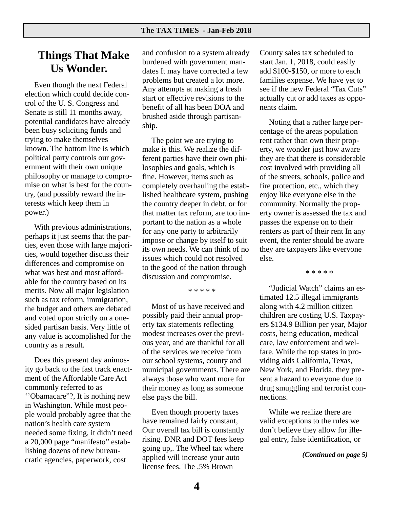## **Things That Make Us Wonder.**

Even though the next Federal election which could decide control of the U. S. Congress and Senate is still 11 months away, potential candidates have already been busy soliciting funds and trying to make themselves known. The bottom line is which political party controls our government with their own unique philosophy or manage to compromise on what is best for the country, (and possibly reward the interests which keep them in power.)

With previous administrations, perhaps it just seems that the parties, even those with large majorities, would together discuss their differences and compromise on what was best and most affordable for the country based on its merits. Now all major legislation such as tax reform, immigration, the budget and others are debated and voted upon strictly on a onesided partisan basis. Very little of any value is accomplished for the country as a result.

Does this present day animosity go back to the fast track enactment of the Affordable Care Act commonly referred to as ''Obamacare"?, It is nothing new in Washington. While most people would probably agree that the nation's health care system needed some fixing, it didn't need a 20,000 page "manifesto" establishing dozens of new bureaucratic agencies, paperwork, cost

and confusion to a system already burdened with government mandates It may have corrected a few problems but created a lot more. Any attempts at making a fresh start or effective revisions to the benefit of all has been DOA and brushed aside through partisanship.

The point we are trying to make is this. We realize the different parties have their own philosophies and goals, which is fine. However, items such as completely overhauling the established healthcare system, pushing the country deeper in debt, or for that matter tax reform, are too important to the nation as a whole for any one party to arbitrarily impose or change by itself to suit its own needs. We can think of no issues which could not resolved to the good of the nation through discussion and compromise.

\* \* \* \* \*

Most of us have received and possibly paid their annual property tax statements reflecting modest increases over the previous year, and are thankful for all of the services we receive from our school systems, county and municipal governments. There are always those who want more for their money as long as someone else pays the bill.

Even though property taxes have remained fairly constant, Our overall tax bill is constantly rising. DNR and DOT fees keep going up,. The Wheel tax where applied will increase your auto license fees. The ,5% Brown

County sales tax scheduled to start Jan. 1, 2018, could easily add \$100-\$150, or more to each families expense. We have yet to see if the new Federal "Tax Cuts" actually cut or add taxes as opponents claim.

Noting that a rather large percentage of the areas population rent rather than own their property, we wonder just how aware they are that there is considerable cost involved with providing all of the streets, schools, police and fire protection, etc., which they enjoy like everyone else in the community. Normally the property owner is assessed the tax and passes the expense on to their renters as part of their rent In any event, the renter should be aware they are taxpayers like everyone else.

\* \* \* \* \*

"Judicial Watch" claims an estimated 12.5 illegal immigrants along with 4.2 million citizen children are costing U.S. Taxpayers \$134.9 Billion per year, Major costs, being education, medical care, law enforcement and welfare. While the top states in providing aids California, Texas, New York, and Florida, they present a hazard to everyone due to drug smuggling and terrorist connections.

While we realize there are valid exceptions to the rules we don't believe they allow for illegal entry, false identification, or

*(Continued on page 5)*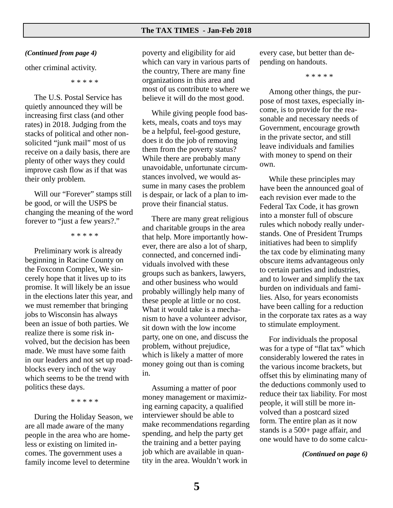#### *(Continued from page 4)*

other criminal activity.

\* \* \* \* \*

The U.S. Postal Service has quietly announced they will be increasing first class (and other rates) in 2018. Judging from the stacks of political and other nonsolicited "junk mail" most of us receive on a daily basis, there are plenty of other ways they could improve cash flow as if that was their only problem.

Will our "Forever" stamps still be good, or will the USPS be changing the meaning of the word forever to "just a few years?."

\* \* \* \* \*

Preliminary work is already beginning in Racine County on the Foxconn Complex, We sincerely hope that it lives up to its promise. It will likely be an issue in the elections later this year, and we must remember that bringing jobs to Wisconsin has always been an issue of both parties. We realize there is some risk involved, but the decision has been made. We must have some faith in our leaders and not set up roadblocks every inch of the way which seems to be the trend with politics these days.

\* \* \* \* \*

During the Holiday Season, we are all made aware of the many people in the area who are homeless or existing on limited incomes. The government uses a family income level to determine

poverty and eligibility for aid which can vary in various parts of the country, There are many fine organizations in this area and most of us contribute to where we believe it will do the most good.

While giving people food baskets, meals, coats and toys may be a helpful, feel-good gesture, does it do the job of removing them from the poverty status? While there are probably many unavoidable, unfortunate circumstances involved, we would assume in many cases the problem is despair, or lack of a plan to improve their financial status.

There are many great religious and charitable groups in the area that help. More importantly however, there are also a lot of sharp, connected, and concerned individuals involved with these groups such as bankers, lawyers, and other business who would probably willingly help many of these people at little or no cost. What it would take is a mechanism to have a volunteer advisor, sit down with the low income party, one on one, and discuss the problem, without prejudice, which is likely a matter of more money going out than is coming in.

Assuming a matter of poor money management or maximizing earning capacity, a qualified interviewer should be able to make recommendations regarding spending, and help the party get the training and a better paying job which are available in quantity in the area. Wouldn't work in

every case, but better than depending on handouts.

\* \* \* \* \*

Among other things, the purpose of most taxes, especially income, is to provide for the reasonable and necessary needs of Government, encourage growth in the private sector, and still leave individuals and families with money to spend on their own.

While these principles may have been the announced goal of each revision ever made to the Federal Tax Code, it has grown into a monster full of obscure rules which nobody really understands. One of President Trumps initiatives had been to simplify the tax code by eliminating many obscure items advantageous only to certain parties and industries, and to lower and simplify the tax burden on individuals and families. Also, for years economists have been calling for a reduction in the corporate tax rates as a way to stimulate employment.

For individuals the proposal was for a type of "flat tax" which considerably lowered the rates in the various income brackets, but offset this by eliminating many of the deductions commonly used to reduce their tax liability. For most people, it will still be more involved than a postcard sized form. The entire plan as it now stands is a 500+ page affair, and one would have to do some calcu-

*(Continued on page 6)*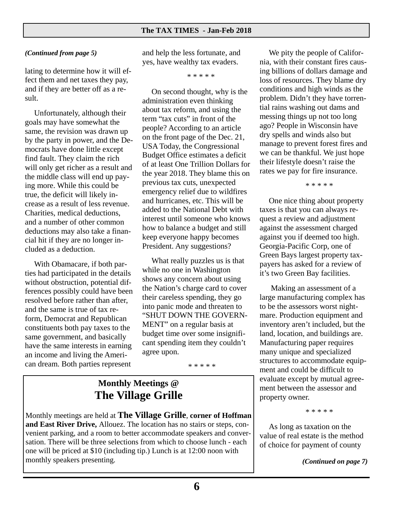#### *(Continued from page 5)*

lating to determine how it will effect them and net taxes they pay, and if they are better off as a result.

Unfortunately, although their goals may have somewhat the same, the revision was drawn up by the party in power, and the Democrats have done little except find fault. They claim the rich will only get richer as a result and the middle class will end up paying more. While this could be true, the deficit will likely increase as a result of less revenue. Charities, medical deductions, and a number of other common deductions may also take a financial hit if they are no longer included as a deduction.

With Obamacare, if both parties had participated in the details without obstruction, potential differences possibly could have been resolved before rather than after, and the same is true of tax reform, Democrat and Republican constituents both pay taxes to the same government, and basically have the same interests in earning an income and living the American dream. Both parties represent

and help the less fortunate, and yes, have wealthy tax evaders.

\* \* \* \* \*

On second thought, why is the administration even thinking about tax reform, and using the term "tax cuts" in front of the people? According to an article on the front page of the Dec. 21, USA Today, the Congressional Budget Office estimates a deficit of at least One Trillion Dollars for the year 2018. They blame this on previous tax cuts, unexpected emergency relief due to wildfires and hurricanes, etc. This will be added to the National Debt with interest until someone who knows how to balance a budget and still keep everyone happy becomes President. Any suggestions?

What really puzzles us is that while no one in Washington shows any concern about using the Nation's charge card to cover their careless spending, they go into panic mode and threaten to "SHUT DOWN THE GOVERN-MENT" on a regular basis at budget time over some insignificant spending item they couldn't agree upon.

\* \* \* \* \*

## **Monthly Meetings @ The Village Grille**

Monthly meetings are held at **The Village Grille**, **corner of Hoffman and East River Drive,** Allouez. The location has no stairs or steps, convenient parking, and a room to better accommodate speakers and conversation. There will be three selections from which to choose lunch - each one will be priced at \$10 (including tip.) Lunch is at 12:00 noon with monthly speakers presenting.

We pity the people of California, with their constant fires causing billions of dollars damage and loss of resources. They blame dry conditions and high winds as the problem. Didn't they have torrential rains washing out dams and messing things up not too long ago? People in Wisconsin have dry spells and winds also but manage to prevent forest fires and we can be thankful. We just hope their lifestyle doesn't raise the rates we pay for fire insurance.

\* \* \* \* \*

One nice thing about property taxes is that you can always request a review and adjustment against the assessment charged against you if deemed too high. Georgia-Pacific Corp, one of Green Bays largest property taxpayers has asked for a review of it's two Green Bay facilities.

 Making an assessment of a large manufacturing complex has to be the assessors worst nightmare. Production equipment and inventory aren't included, but the land, location, and buildings are. Manufacturing paper requires many unique and specialized structures to accommodate equipment and could be difficult to evaluate except by mutual agreement between the assessor and property owner.

\* \* \* \* \*

As long as taxation on the value of real estate is the method of choice for payment of county

*(Continued on page 7)*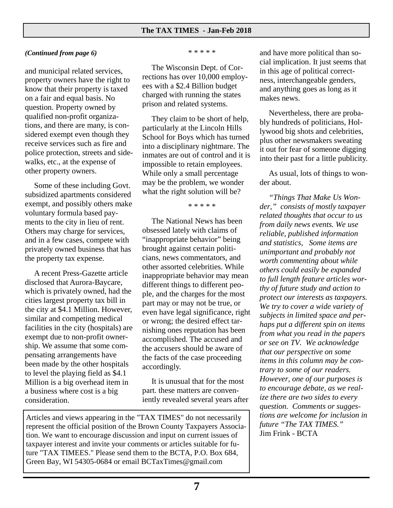### *(Continued from page 6)*

and municipal related services, property owners have the right to know that their property is taxed on a fair and equal basis. No question. Property owned by qualified non-profit organizations, and there are many, is considered exempt even though they receive services such as fire and police protection, streets and sidewalks, etc., at the expense of other property owners.

Some of these including Govt. subsidized apartments considered exempt, and possibly others make voluntary formula based payments to the city in lieu of rent. Others may charge for services, and in a few cases, compete with privately owned business that has the property tax expense.

A recent Press-Gazette article disclosed that Aurora-Baycare, which is privately owned, had the cities largest property tax bill in the city at \$4.1 Million. However, similar and competing medical facilities in the city (hospitals) are exempt due to non-profit ownership. We assume that some compensating arrangements have been made by the other hospitals to level the playing field as \$4.1 Million is a big overhead item in a business where cost is a big consideration.

\* \* \* \* \*

The Wisconsin Dept. of Corrections has over 10,000 employees with a \$2.4 Billion budget charged with running the states prison and related systems.

They claim to be short of help, particularly at the Lincoln Hills School for Boys which has turned into a disciplinary nightmare. The inmates are out of control and it is impossible to retain employees. While only a small percentage may be the problem, we wonder what the right solution will be?

\* \* \* \* \*

The National News has been obsessed lately with claims of "inappropriate behavior" being brought against certain politicians, news commentators, and other assorted celebrities. While inappropriate behavior may mean different things to different people, and the charges for the most part may or may not be true, or even have legal significance, right or wrong; the desired effect tarnishing ones reputation has been accomplished. The accused and the accusers should be aware of the facts of the case proceeding accordingly.

It is unusual that for the most part. these matters are conveniently revealed several years after

Articles and views appearing in the "TAX TIMES" do not necessarily represent the official position of the Brown County Taxpayers Association. We want to encourage discussion and input on current issues of taxpayer interest and invite your comments or articles suitable for future "TAX TIMEES." Please send them to the BCTA, P.O. Box 684, Green Bay, WI 54305-0684 or email BCTaxTimes@gmail.com

and have more political than social implication. It just seems that in this age of political correctness, interchangeable genders, and anything goes as long as it makes news.

Nevertheless, there are probably hundreds of politicians, Hollywood big shots and celebrities, plus other newsmakers sweating it out for fear of someone digging into their past for a little publicity.

As usual, lots of things to wonder about.

*"Things That Make Us Wonder," consists of mostly taxpayer related thoughts that occur to us from daily news events. We use reliable, published information and statistics, Some items are unimportant and probably not worth commenting about while others could easily be expanded to full length feature articles worthy of future study and action to protect our interests as taxpayers. We try to cover a wide variety of subjects in limited space and perhaps put a different spin on items from what you read in the papers or see on TV. We acknowledge that our perspective on some items in this column may be contrary to some of our readers. However, one of our purposes is to encourage debate, as we realize there are two sides to every question. Comments or suggestions are welcome for inclusion in future "The TAX TIMES."* Jim Frink - BCTA